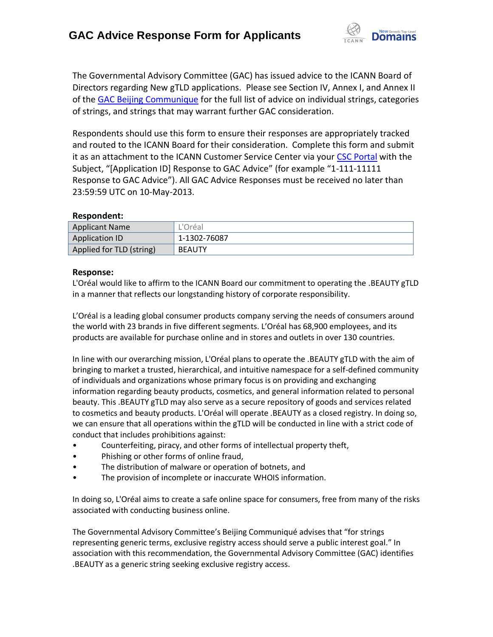

The Governmental Advisory Committee (GAC) has issued advice to the ICANN Board of Directors regarding New gTLD applications. Please see Section IV, Annex I, and Annex II of the [GAC Beijing Communique](http://www.icann.org/en/news/correspondence/gac-to-board-18apr13-en.pdf) for the full list of advice on individual strings, categories of strings, and strings that may warrant further GAC consideration.

Respondents should use this form to ensure their responses are appropriately tracked and routed to the ICANN Board for their consideration. Complete this form and submit it as an attachment to the ICANN Customer Service Center via your CSC [Portal](https://myicann.secure.force.com/) with the Subject, "[Application ID] Response to GAC Advice" (for example "1-111-11111 Response to GAC Advice"). All GAC Advice Responses must be received no later than 23:59:59 UTC on 10-May-2013.

## **Respondent:**

| <b>Applicant Name</b>    | L'Oréal       |
|--------------------------|---------------|
| <b>Application ID</b>    | 1-1302-76087  |
| Applied for TLD (string) | <b>BEAUTY</b> |

## **Response:**

L'Oréal would like to affirm to the ICANN Board our commitment to operating the .BEAUTY gTLD in a manner that reflects our longstanding history of corporate responsibility.

L'Oréal is a leading global consumer products company serving the needs of consumers around the world with 23 brands in five different segments. L'Oréal has 68,900 employees, and its products are available for purchase online and in stores and outlets in over 130 countries.

In line with our overarching mission, L'Oréal plans to operate the .BEAUTY gTLD with the aim of bringing to market a trusted, hierarchical, and intuitive namespace for a self-defined community of individuals and organizations whose primary focus is on providing and exchanging information regarding beauty products, cosmetics, and general information related to personal beauty. This .BEAUTY gTLD may also serve as a secure repository of goods and services related to cosmetics and beauty products. L'Oréal will operate .BEAUTY as a closed registry. In doing so, we can ensure that all operations within the gTLD will be conducted in line with a strict code of conduct that includes prohibitions against:

- Counterfeiting, piracy, and other forms of intellectual property theft,
- Phishing or other forms of online fraud,
- The distribution of malware or operation of botnets, and
- The provision of incomplete or inaccurate WHOIS information.

In doing so, L'Oréal aims to create a safe online space for consumers, free from many of the risks associated with conducting business online.

The Governmental Advisory Committee's Beijing Communiqué advises that "for strings representing generic terms, exclusive registry access should serve a public interest goal." In association with this recommendation, the Governmental Advisory Committee (GAC) identifies .BEAUTY as a generic string seeking exclusive registry access.